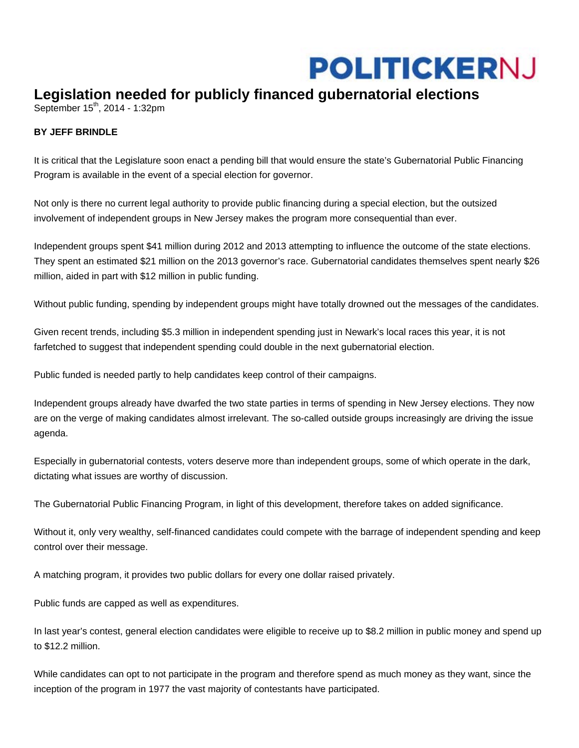## **POLITICKERNJ**

## **Legislation needed for publicly financed gubernatorial elections**

September  $15^{th}$ , 2014 - 1:32pm

## **BY JEFF BRINDLE**

It is critical that the Legislature soon enact a pending bill that would ensure the state's Gubernatorial Public Financing Program is available in the event of a special election for governor.

Not only is there no current legal authority to provide public financing during a special election, but the outsized involvement of independent groups in New Jersey makes the program more consequential than ever.

Independent groups spent \$41 million during 2012 and 2013 attempting to influence the outcome of the state elections. They spent an estimated \$21 million on the 2013 governor's race. Gubernatorial candidates themselves spent nearly \$26 million, aided in part with \$12 million in public funding.

Without public funding, spending by independent groups might have totally drowned out the messages of the candidates.

Given recent trends, including \$5.3 million in independent spending just in Newark's local races this year, it is not farfetched to suggest that independent spending could double in the next gubernatorial election.

Public funded is needed partly to help candidates keep control of their campaigns.

Independent groups already have dwarfed the two state parties in terms of spending in New Jersey elections. They now are on the verge of making candidates almost irrelevant. The so-called outside groups increasingly are driving the issue agenda.

Especially in gubernatorial contests, voters deserve more than independent groups, some of which operate in the dark, dictating what issues are worthy of discussion.

The Gubernatorial Public Financing Program, in light of this development, therefore takes on added significance.

Without it, only very wealthy, self-financed candidates could compete with the barrage of independent spending and keep control over their message.

A matching program, it provides two public dollars for every one dollar raised privately.

Public funds are capped as well as expenditures.

In last year's contest, general election candidates were eligible to receive up to \$8.2 million in public money and spend up to \$12.2 million.

While candidates can opt to not participate in the program and therefore spend as much money as they want, since the inception of the program in 1977 the vast majority of contestants have participated.